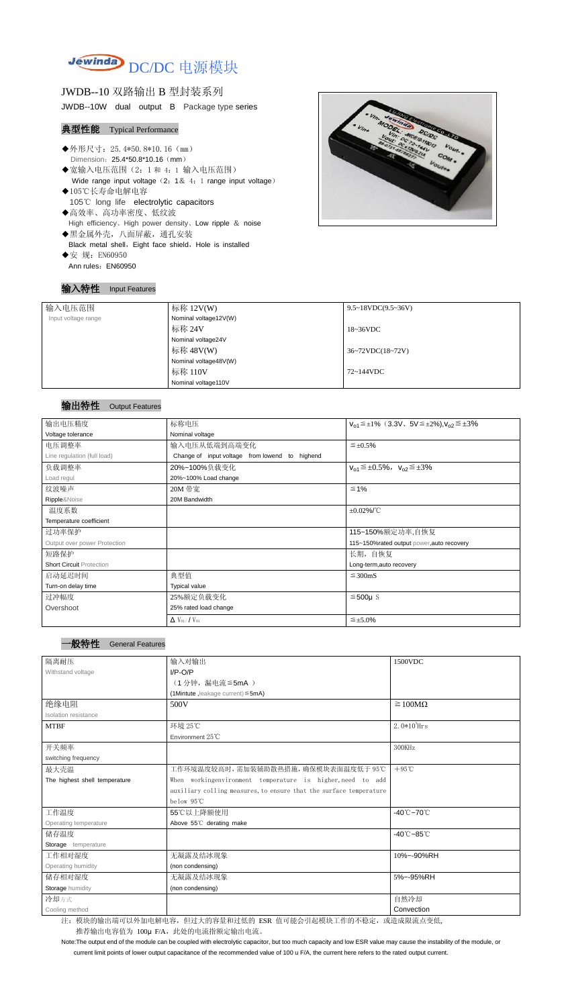

JWDB--10 双路输出 B 型封装系列 JWDB--10W dual output B Package type series

### 典型性能 Typical Performance

- ◆外形尺寸: 25.4\*50.8\*10.16 (mm) Dimension: 25.4\*50.8\*10.16 (mm)
- ◆宽输入电压范围(2:1 和 4:1 输入电压范围) Wide range input voltage (2: 1& 4: 1 range input voltage)
- ◆105℃长寿命电解电容 105℃ long life electrolytic capacitors ◆高效率、高功率密度、低纹波
- High efficiency、High power density、Low ripple & noise
- ◆黑金属外壳,八面屏蔽,通孔安装 Black metal shell, Eight face shield, Hole is installed ◆安 规: EN60950
	- Ann rules: EN60950

#### 输入特性 Input Features



### 输出特性 Output Features

| 一般特性 | <b>General Features</b> |
|------|-------------------------|
|      |                         |

Note:The output end of the module can be coupled with electrolytic capacitor, but too much capacity and low ESR value may cause the instability of the module, or

current limit points of lower output capacitance of the recommended value of 100 u F/A, the current here refers to the rated output current.

| 输入电压范围              | 标称 12V(W)             | $9.5 \sim 18 VDC(9.5 \sim 36 V)$     |
|---------------------|-----------------------|--------------------------------------|
|                     |                       |                                      |
| Input voltage range | Nominal voltage12V(W) |                                      |
|                     | 标称 24V                | $18~36\textrm{VDC}$                  |
|                     | Nominal voltage24V    |                                      |
|                     | 标称 48V(W)             | $36~72\textrm{VDC}(18~72\textrm{V})$ |
|                     | Nominal voltage48V(W) |                                      |
|                     | 标称 110V               | 72~144VDC                            |
|                     | Nominal voltage110V   |                                      |

| 输出电压精度                          | 标称电压                                              | $V_{01} \le \pm 1\%$ (3.3V, $5V \le \pm 2\%$ ), $V_{02} \le \pm 3\%$ |  |
|---------------------------------|---------------------------------------------------|----------------------------------------------------------------------|--|
| Voltage tolerance               | Nominal voltage                                   |                                                                      |  |
| 电压调整率                           | 输入电压从低端到高端变化                                      | $\leq \pm 0.5\%$                                                     |  |
| Line regulation (full load)     | Change of input voltage from lowend<br>to highend |                                                                      |  |
| 负载调整率                           | 20%~100%负载变化                                      | $V_{01} \leq \pm 0.5\%$ , $V_{02} \leq \pm 3\%$                      |  |
| Load regul                      | 20%~100% Load change                              |                                                                      |  |
| 纹波噪声                            | 20M 带宽                                            | $\leq 1\%$                                                           |  |
| Ripple&Noise                    | 20M Bandwidth                                     |                                                                      |  |
| 温度系数                            |                                                   | $\pm 0.02\%$ /°C                                                     |  |
| Temperature coefficient         |                                                   |                                                                      |  |
| 过功率保护                           |                                                   | 115~150%额定功率,自恢复                                                     |  |
| Output over power Protection    |                                                   | 115~150%rated output power, auto recovery                            |  |
| 短路保护                            |                                                   | 长期, 自恢复                                                              |  |
| <b>Short Circuit Protection</b> |                                                   | Long-term, auto recovery                                             |  |
| 启动延迟时间                          | 典型值                                               | $\leq$ 300mS                                                         |  |
| Turn-on delay time              | <b>Typical value</b>                              |                                                                      |  |
| 过冲幅度                            | 25%额定负载变化                                         | $≤500µ$ S                                                            |  |
| Overshoot                       | 25% rated load change                             |                                                                      |  |
|                                 | $\Delta$ V <sub>01</sub> /V <sub>01</sub>         | $\leq \pm 5.0\%$                                                     |  |

| 隔离耐压                          | 输入对输出                                                              | 1500VDC                         |
|-------------------------------|--------------------------------------------------------------------|---------------------------------|
| Withstand voltage             | $I/P-O/P$                                                          |                                 |
|                               | (1分钟,漏电流≦5mA)                                                      |                                 |
|                               | (1Mintute, leakage current) $\leq$ 5mA)                            |                                 |
| 绝缘电阻                          | 500V                                                               | $\geq 100M\Omega$               |
| Isolation resistance          |                                                                    |                                 |
| <b>MTBF</b>                   | 环境 25℃                                                             | $2.0*105$ Hrs                   |
|                               | Environment 25°C                                                   |                                 |
| 开关频率                          |                                                                    | 300KHz                          |
| switching frequency           |                                                                    |                                 |
| 最大壳温                          | 工作环境温度较高时,需加装辅助散热措施,确保模块表面温度低于 95℃                                 | $+95^{\circ}$ C                 |
| The highest shell temperature | When workingenvironment temperature is higher, need to add         |                                 |
|                               | auxiliary colling measures, to ensure that the surface temperature |                                 |
|                               | below 95°C                                                         |                                 |
| 工作温度                          | 55℃以上降额使用                                                          | $-40^{\circ}$ C $-70^{\circ}$ C |
| Operating temperature         | Above 55°C derating make                                           |                                 |
| 储存温度                          |                                                                    | $-40^{\circ}$ C $-85^{\circ}$ C |
| Storage temperature           |                                                                    |                                 |
| 工作相对湿度                        | 无凝露及结冰现象                                                           | 10%~-90%RH                      |
| Operating humidity            | (non condensing)                                                   |                                 |
| 储存相对湿度                        | 无凝露及结冰现象                                                           | 5%~-95%RH                       |
| Storage humidity              | (non condensing)                                                   |                                 |
| 冷却方式                          |                                                                    | 自然冷却                            |
| Cooling method                |                                                                    | Convection                      |

注: 模块的输出端可以外加电解电容,但过大的容量和过低的 ESR 值可能会引起模块工作的不稳定, 或造成限流点变低, 推荐输出电容值为 100μ F/A, 此处的电流指额定输出电流。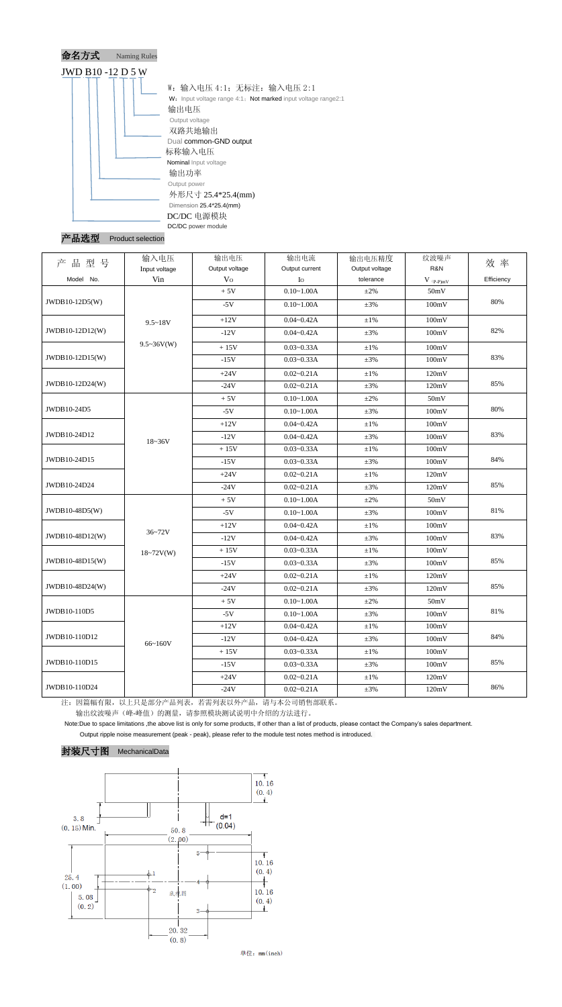

## 产品选型 Product selection

|                 | 输入电压              | 输出电压           | 输出电流           | 输出电压精度         | 纹波噪声                          |            |
|-----------------|-------------------|----------------|----------------|----------------|-------------------------------|------------|
| 品型号<br>产        | Input voltage     | Output voltage | Output current | Output voltage | R&N                           | 效率         |
| Model No.       | Vin               | V <sub>O</sub> | Io             | tolerance      | $V$ $\mathrm{(p\text{-}p)mV}$ | Efficiency |
|                 |                   | $+5V$          | $0.10 - 1.00A$ | $\pm 2\%$      | 50mV                          |            |
| JWDB10-12D5(W)  |                   | $-5V$          | $0.10 - 1.00A$ | $\pm 3\%$      | 100mV                         | 80%        |
|                 | $9.5 - 18V$       | $+12V$         | $0.04 - 0.42A$ | $\pm 1\%$      | 100mV                         |            |
| JWDB10-12D12(W) |                   | $-12V$         | $0.04 - 0.42A$ | $\pm 3\%$      | 100mV                         | 82%        |
|                 | $9.5 \sim 36V(W)$ | $+15V$         | $0.03 - 0.33A$ | $\pm 1\%$      | 100mV                         |            |
| JWDB10-12D15(W) |                   | $-15V$         | $0.03 - 0.33A$ | $\pm 3\%$      | 100mV                         | 83%        |
|                 |                   | $+24V$         | $0.02 - 0.21A$ | $\pm 1\%$      | 120mV                         |            |
| JWDB10-12D24(W) |                   | $-24V$         | $0.02 - 0.21A$ | $\pm 3\%$      | 120mV                         | 85%        |
|                 |                   | $+5V$          | $0.10 - 1.00A$ | $\pm 2\%$      | 50mV                          |            |
| JWDB10-24D5     |                   | $-5V$          | $0.10 - 1.00A$ | $\pm 3\%$      | 100mV                         | 80%        |
|                 | $18 - 36V$        | $+12V$         | $0.04 - 0.42A$ | $\pm 1\%$      | 100mV                         |            |
| JWDB10-24D12    |                   | $-12V$         | $0.04 - 0.42A$ | $\pm 3\%$      | 100mV                         | 83%        |
|                 |                   | $+15V$         | $0.03 - 0.33A$ | $\pm 1\%$      | 100mV                         |            |
| JWDB10-24D15    |                   | $-15V$         | $0.03 - 0.33A$ | $\pm 3\%$      | 100mV                         | 84%        |
|                 |                   | $+24V$         | $0.02 - 0.21A$ | $\pm 1\%$      | 120mV                         |            |
| JWDB10-24D24    |                   | $-24V$         | $0.02 - 0.21A$ | $\pm 3\%$      | 120mV                         | 85%        |
|                 |                   | $+5V$          | $0.10 - 1.00A$ | $\pm 2\%$      | 50mV                          |            |
| JWDB10-48D5(W)  |                   | $-5V$          | $0.10 - 1.00A$ | $\pm 3\%$      | 100mV                         | 81%        |
|                 |                   | $+12V$         | $0.04 - 0.42A$ | $\pm 1\%$      | 100mV                         |            |
| JWDB10-48D12(W) | 36~72V            | $-12V$         | $0.04 - 0.42A$ | $\pm 3\%$      | 100mV                         | 83%        |
|                 | $18 - 72V(W)$     | $+15V$         | $0.03 - 0.33A$ | $\pm1\%$       | 100mV                         |            |
| JWDB10-48D15(W) |                   | $-15V$         | $0.03 - 0.33A$ | $\pm 3\%$      | 100mV                         | 85%        |
|                 |                   | $+24V$         | $0.02 - 0.21A$ | $\pm 1\%$      | 120mV                         |            |
| JWDB10-48D24(W) |                   | $-24V$         | $0.02 - 0.21A$ | $\pm 3\%$      | 120mV                         | 85%        |
|                 |                   | $+5V$          | $0.10 - 1.00A$ | $\pm 2\%$      | 50mV                          |            |
| JWDB10-110D5    |                   | $-5V$          | $0.10 - 1.00A$ | $\pm 3\%$      | 100mV                         | 81%        |
|                 |                   | $+12V$         | $0.04 - 0.42A$ | $\pm 1\%$      | 100mV                         |            |
| JWDB10-110D12   | 66~160V           | $-12V$         | $0.04 - 0.42A$ | $\pm 3\%$      | 100mV                         | 84%        |
|                 |                   | $+15V$         | $0.03 - 0.33A$ | $\pm 1\%$      | 100mV                         |            |
| JWDB10-110D15   |                   | $-15V$         | $0.03 - 0.33A$ | $\pm 3\%$      | 100mV                         | 85%        |
|                 |                   | $+24V$         | $0.02 - 0.21A$ | $\pm 1\%$      | 120mV                         |            |
| JWDB10-110D24   |                   | $-24V$         | $0.02 - 0.21A$ | $\pm 3\%$      | 120mV                         | 86%        |

注:因篇幅有限,以上只是部分产品列表,若需列表以外产品,请与本公司销售部联系。

输出纹波噪声(峰-峰值)的测量,请参照模块测试说明中介绍的方法进行。

Note:Due to space limitations ,the above list is only for some products, If other than a list of products, please contact the Company's sales department.

Output ripple noise measurement (peak - peak), please refer to the module test notes method is introduced.

### 封装尺寸图 MechanicalData